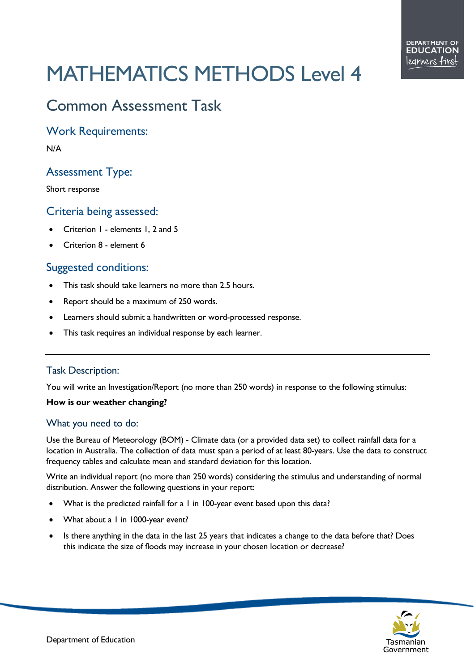# MATHEMATICS METHODS Level 4

# Common Assessment Task

Work Requirements:

N/A

# Assessment Type:

Short response

#### Criteria being assessed:

- Criterion 1 elements 1, 2 and 5
- Criterion 8 element 6

## Suggested conditions:

- This task should take learners no more than 2.5 hours.
- Report should be a maximum of 250 words.
- Learners should submit a handwritten or word-processed response.
- This task requires an individual response by each learner.

#### Task Description:

You will write an Investigation/Report (no more than 250 words) in response to the following stimulus:

#### **How is our weather changing?**

#### What you need to do:

Use the Bureau of Meteorology (BOM) - Climate data (or a provided data set) to collect rainfall data for a location in Australia. The collection of data must span a period of at least 80-years. Use the data to construct frequency tables and calculate mean and standard deviation for this location.

Write an individual report (no more than 250 words) considering the stimulus and understanding of normal distribution. Answer the following questions in your report:

- What is the predicted rainfall for a 1 in 100-year event based upon this data?
- What about a 1 in 1000-year event?
- Is there anything in the data in the last 25 years that indicates a change to the data before that? Does this indicate the size of floods may increase in your chosen location or decrease?